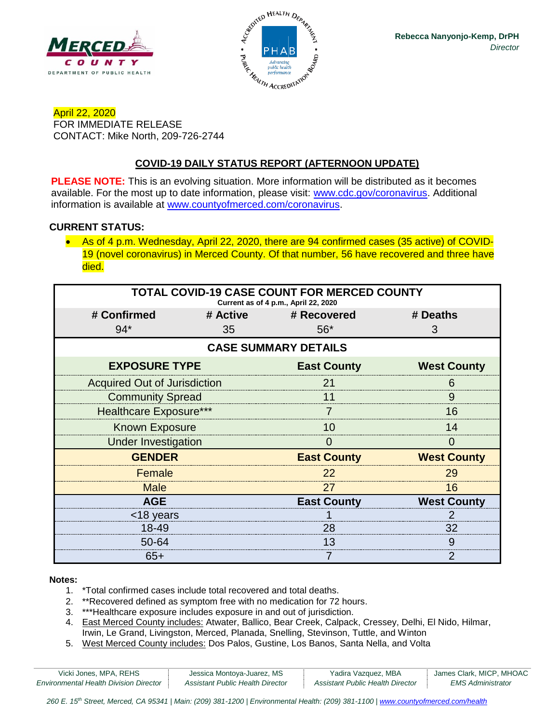



April 22, 2020 FOR IMMEDIATE RELEASE CONTACT: Mike North, 209-726-2744

# **COVID-19 DAILY STATUS REPORT (AFTERNOON UPDATE)**

**PLEASE NOTE:** This is an evolving situation. More information will be distributed as it becomes available. For the most up to date information, please visit: [www.cdc.gov/coronavirus.](http://www.cdc.gov/coronavirus) Additional information is available at [www.countyofmerced.com/coronavirus.](http://www.countyofmerced.com/coronavirus)

#### **CURRENT STATUS:**

• As of 4 p.m. Wednesday, April 22, 2020, there are 94 confirmed cases (35 active) of COVID-19 (novel coronavirus) in Merced County. Of that number, 56 have recovered and three have died.

| <b>TOTAL COVID-19 CASE COUNT FOR MERCED COUNTY</b><br>Current as of 4 p.m., April 22, 2020 |    |                      |                    |  |  |
|--------------------------------------------------------------------------------------------|----|----------------------|--------------------|--|--|
| # Confirmed                                                                                |    | # Active # Recovered | # Deaths           |  |  |
| $94*$                                                                                      | 35 | $56*$                | 3                  |  |  |
| <b>CASE SUMMARY DETAILS</b>                                                                |    |                      |                    |  |  |
| <b>EXPOSURE TYPE</b>                                                                       |    | <b>East County</b>   | <b>West County</b> |  |  |
| <b>Acquired Out of Jurisdiction</b>                                                        |    | 21                   | 6                  |  |  |
| <b>Community Spread</b>                                                                    |    | 11                   | 9                  |  |  |
| <b>Healthcare Exposure***</b>                                                              |    |                      | 16                 |  |  |
| <b>Known Exposure</b>                                                                      |    | 10                   | 14                 |  |  |
| <b>Under Investigation</b>                                                                 |    | 0                    | $\mathbf{\Omega}$  |  |  |
| <b>GENDER</b>                                                                              |    | <b>East County</b>   | <b>West County</b> |  |  |
| Female                                                                                     |    | 22                   | 29                 |  |  |
| <b>Male</b>                                                                                |    | 27                   | 16                 |  |  |
| <b>AGE</b>                                                                                 |    | <b>East County</b>   | <b>West County</b> |  |  |
| <18 years                                                                                  |    |                      |                    |  |  |
| 18-49                                                                                      |    | 28                   | 32                 |  |  |
| 50-64                                                                                      |    | 13                   | 9                  |  |  |
| $65+$                                                                                      |    |                      |                    |  |  |

#### **Notes:**

- 1. \*Total confirmed cases include total recovered and total deaths.
- 2. \*\*Recovered defined as symptom free with no medication for 72 hours.
- 3. \*\*\*Healthcare exposure includes exposure in and out of jurisdiction.
- 4. East Merced County includes: Atwater, Ballico, Bear Creek, Calpack, Cressey, Delhi, El Nido, Hilmar, Irwin, Le Grand, Livingston, Merced, Planada, Snelling, Stevinson, Tuttle, and Winton
- 5. West Merced County includes: Dos Palos, Gustine, Los Banos, Santa Nella, and Volta

| Vicki Jones, MPA, REHS                        | Jessica Montoya-Juarez, MS       | Yadira Vazquez, MBA                     | James Clark, MICP, MHOAC |
|-----------------------------------------------|----------------------------------|-----------------------------------------|--------------------------|
| <b>Environmental Health Division Director</b> | Assistant Public Health Director | <b>Assistant Public Health Director</b> | EMS Administrator        |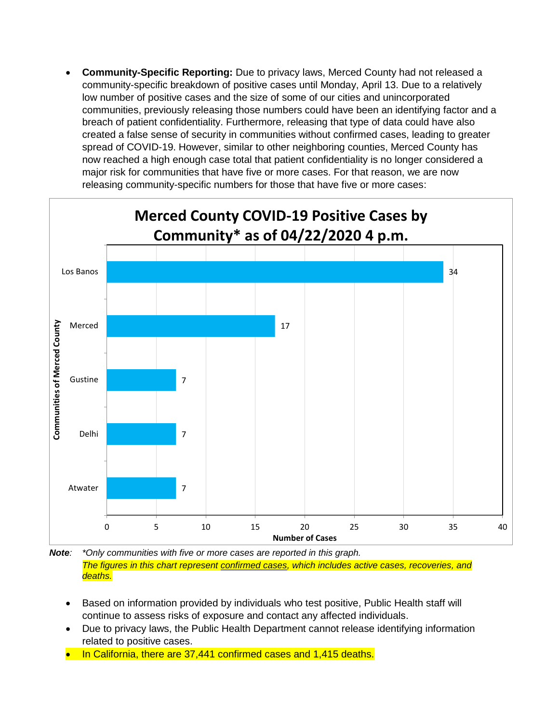• **Community-Specific Reporting:** Due to privacy laws, Merced County had not released a community-specific breakdown of positive cases until Monday, April 13. Due to a relatively low number of positive cases and the size of some of our cities and unincorporated communities, previously releasing those numbers could have been an identifying factor and a breach of patient confidentiality. Furthermore, releasing that type of data could have also created a false sense of security in communities without confirmed cases, leading to greater spread of COVID-19. However, similar to other neighboring counties, Merced County has now reached a high enough case total that patient confidentiality is no longer considered a major risk for communities that have five or more cases. For that reason, we are now releasing community-specific numbers for those that have five or more cases:



*Note: \*Only communities with five or more cases are reported in this graph. The figures in this chart represent confirmed cases, which includes active cases, recoveries, and deaths.*

- Based on information provided by individuals who test positive, Public Health staff will continue to assess risks of exposure and contact any affected individuals.
- Due to privacy laws, the Public Health Department cannot release identifying information related to positive cases.
- In California, there are 37,441 confirmed cases and 1,415 deaths.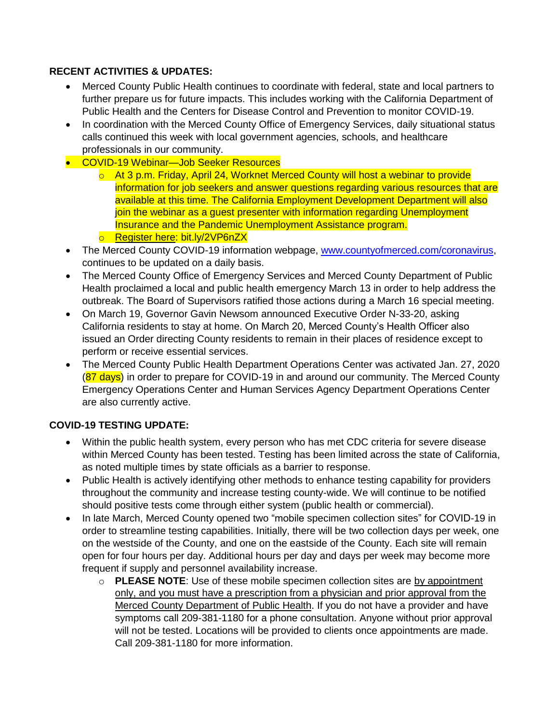## **RECENT ACTIVITIES & UPDATES:**

- Merced County Public Health continues to coordinate with federal, state and local partners to further prepare us for future impacts. This includes working with the California Department of Public Health and the Centers for Disease Control and Prevention to monitor COVID-19.
- In coordination with the Merced County Office of Emergency Services, daily situational status calls continued this week with local government agencies, schools, and healthcare professionals in our community.
- COVID-19 Webinar—Job Seeker Resources
	- $\circ$  At 3 p.m. Friday, April 24, Worknet Merced County will host a webinar to provide information for job seekers and answer questions regarding various resources that are available at this time. The California Employment Development Department will also join the webinar as a guest presenter with information regarding Unemployment Insurance and the Pandemic Unemployment Assistance program.
	- o Register here: bit.ly/2VP6nZX
- The Merced County COVID-19 information webpage, [www.countyofmerced.com/coronavirus,](http://www.countyofmerced.com/coronavirus) continues to be updated on a daily basis.
- The Merced County Office of Emergency Services and Merced County Department of Public Health proclaimed a local and public health emergency March 13 in order to help address the outbreak. The Board of Supervisors ratified those actions during a March 16 special meeting.
- On March 19, Governor Gavin Newsom announced Executive Order N-33-20, asking California residents to stay at home. On March 20, Merced County's Health Officer also issued an Order directing County residents to remain in their places of residence except to perform or receive essential services.
- The Merced County Public Health Department Operations Center was activated Jan. 27, 2020  $(87 \text{ days})$  in order to prepare for COVID-19 in and around our community. The Merced County Emergency Operations Center and Human Services Agency Department Operations Center are also currently active.

## **COVID-19 TESTING UPDATE:**

- Within the public health system, every person who has met CDC criteria for severe disease within Merced County has been tested. Testing has been limited across the state of California, as noted multiple times by state officials as a barrier to response.
- Public Health is actively identifying other methods to enhance testing capability for providers throughout the community and increase testing county-wide. We will continue to be notified should positive tests come through either system (public health or commercial).
- In late March, Merced County opened two "mobile specimen collection sites" for COVID-19 in order to streamline testing capabilities. Initially, there will be two collection days per week, one on the westside of the County, and one on the eastside of the County. Each site will remain open for four hours per day. Additional hours per day and days per week may become more frequent if supply and personnel availability increase.
	- o **PLEASE NOTE**: Use of these mobile specimen collection sites are by appointment only, and you must have a prescription from a physician and prior approval from the Merced County Department of Public Health. If you do not have a provider and have symptoms call 209-381-1180 for a phone consultation. Anyone without prior approval will not be tested. Locations will be provided to clients once appointments are made. Call 209-381-1180 for more information.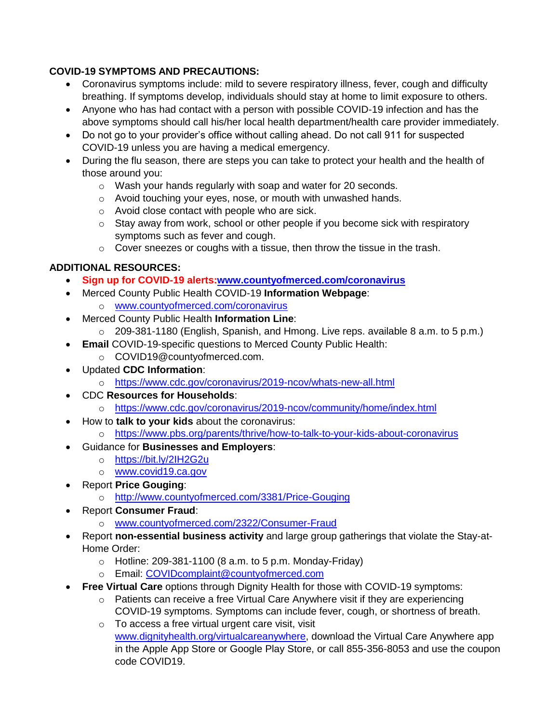## **COVID-19 SYMPTOMS AND PRECAUTIONS:**

- Coronavirus symptoms include: mild to severe respiratory illness, fever, cough and difficulty breathing. If symptoms develop, individuals should stay at home to limit exposure to others.
- Anyone who has had contact with a person with possible COVID-19 infection and has the above symptoms should call his/her local health department/health care provider immediately.
- Do not go to your provider's office without calling ahead. Do not call 911 for suspected COVID-19 unless you are having a medical emergency.
- During the flu season, there are steps you can take to protect your health and the health of those around you:
	- o Wash your hands regularly with soap and water for 20 seconds.
	- o Avoid touching your eyes, nose, or mouth with unwashed hands.
	- o Avoid close contact with people who are sick.
	- o Stay away from work, school or other people if you become sick with respiratory symptoms such as fever and cough.
	- $\circ$  Cover sneezes or coughs with a tissue, then throw the tissue in the trash.

# **ADDITIONAL RESOURCES:**

- **Sign up for COVID-19 alerts[:www.countyofmerced.com/coronavirus](http://www.countyofmerced.com/coronavirus)**
- Merced County Public Health COVID-19 **Information Webpage**:
	- o [www.countyofmerced.com/coronavirus](http://www.countyofmerced.com/coronavirus)
- Merced County Public Health **Information Line**:
	- o 209-381-1180 (English, Spanish, and Hmong. Live reps. available 8 a.m. to 5 p.m.)
	- **Email** COVID-19-specific questions to Merced County Public Health:
	- o COVID19@countyofmerced.com.
- Updated **CDC Information**:
	- o <https://www.cdc.gov/coronavirus/2019-ncov/whats-new-all.html>
- CDC **Resources for Households**:
	- o <https://www.cdc.gov/coronavirus/2019-ncov/community/home/index.html>
- How to **talk to your kids** about the coronavirus:
	- o <https://www.pbs.org/parents/thrive/how-to-talk-to-your-kids-about-coronavirus>
- Guidance for **Businesses and Employers**:
	- o <https://bit.ly/2IH2G2u>
	- o [www.covid19.ca.gov](http://www.covid19.ca.gov/)
- Report **Price Gouging**:
	- o <http://www.countyofmerced.com/3381/Price-Gouging>
- Report **Consumer Fraud**:
	- o [www.countyofmerced.com/2322/Consumer-Fraud](http://www.countyofmerced.com/2322/Consumer-Fraud)
- Report **non-essential business activity** and large group gatherings that violate the Stay-at-Home Order:
	- $\circ$  Hotline: 209-381-1100 (8 a.m. to 5 p.m. Monday-Friday)
	- o Email: [COVIDcomplaint@countyofmerced.com](mailto:COVIDcomplaint@countyofmerced.com)
- **Free Virtual Care** options through Dignity Health for those with COVID-19 symptoms:
	- o Patients can receive a free Virtual Care Anywhere visit if they are experiencing COVID-19 symptoms. Symptoms can include fever, cough, or shortness of breath.
	- o To access a free virtual urgent care visit, visit [www.dignityhealth.org/virtualcareanywhere,](http://www.dignityhealth.org/virtualcareanywhere) download the Virtual Care Anywhere app in the Apple App Store or Google Play Store, or call 855-356-8053 and use the coupon code COVID19.